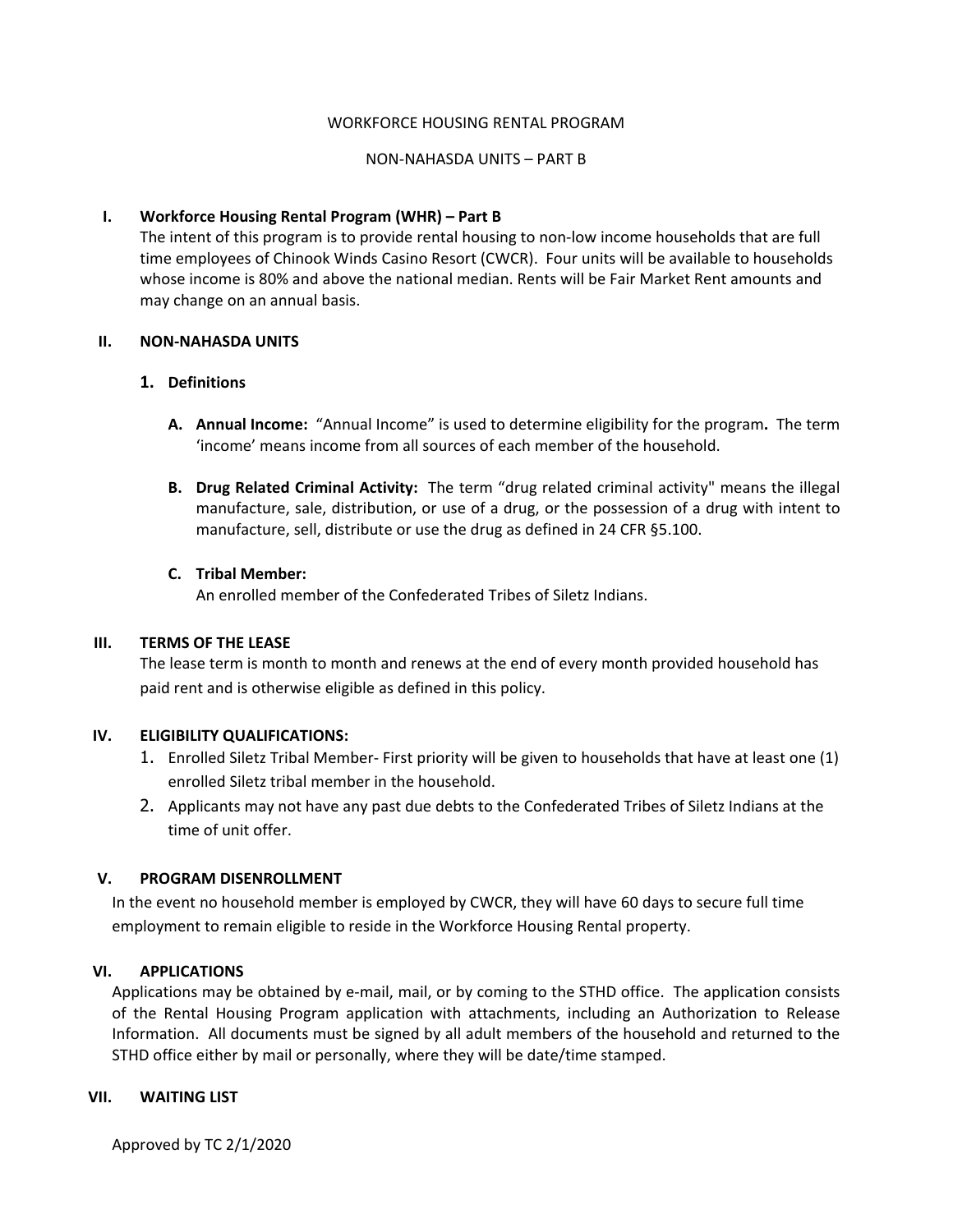### WORKFORCE HOUSING RENTAL PROGRAM

### NON-NAHASDA UNITS – PART B

# **I. Workforce Housing Rental Program (WHR) – Part B**

The intent of this program is to provide rental housing to non-low income households that are full time employees of Chinook Winds Casino Resort (CWCR). Four units will be available to households whose income is 80% and above the national median. Rents will be Fair Market Rent amounts and may change on an annual basis.

### **II. NON-NAHASDA UNITS**

### **1. Definitions**

- **A. Annual Income:** "Annual Income" is used to determine eligibility for the program**.** The term 'income' means income from all sources of each member of the household.
- **B. Drug Related Criminal Activity:** The term "drug related criminal activity" means the illegal manufacture, sale, distribution, or use of a drug, or the possession of a drug with intent to manufacture, sell, distribute or use the drug as defined in 24 CFR §5.100.

# **C. Tribal Member:**

An enrolled member of the Confederated Tribes of Siletz Indians.

#### **III. TERMS OF THE LEASE**

The lease term is month to month and renews at the end of every month provided household has paid rent and is otherwise eligible as defined in this policy.

# **IV. ELIGIBILITY QUALIFICATIONS:**

- 1. Enrolled Siletz Tribal Member- First priority will be given to households that have at least one (1) enrolled Siletz tribal member in the household.
- 2. Applicants may not have any past due debts to the Confederated Tribes of Siletz Indians at the time of unit offer.

# **V. PROGRAM DISENROLLMENT**

In the event no household member is employed by CWCR, they will have 60 days to secure full time employment to remain eligible to reside in the Workforce Housing Rental property.

# **VI. APPLICATIONS**

Applications may be obtained by e-mail, mail, or by coming to the STHD office. The application consists of the Rental Housing Program application with attachments, including an Authorization to Release Information. All documents must be signed by all adult members of the household and returned to the STHD office either by mail or personally, where they will be date/time stamped.

#### **VII. WAITING LIST**

Approved by TC 2/1/2020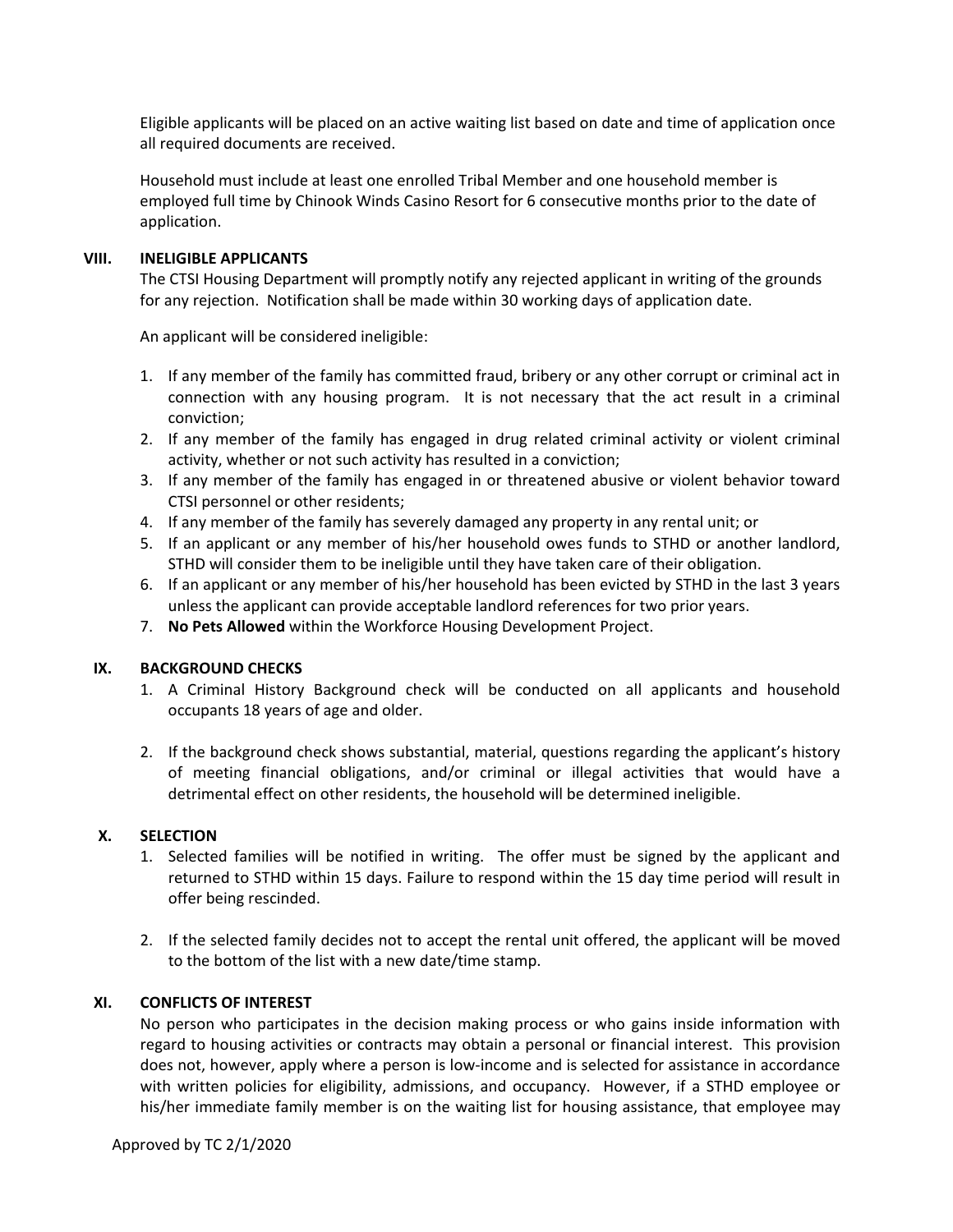Eligible applicants will be placed on an active waiting list based on date and time of application once all required documents are received.

Household must include at least one enrolled Tribal Member and one household member is employed full time by Chinook Winds Casino Resort for 6 consecutive months prior to the date of application.

# **VIII. INELIGIBLE APPLICANTS**

The CTSI Housing Department will promptly notify any rejected applicant in writing of the grounds for any rejection. Notification shall be made within 30 working days of application date.

An applicant will be considered ineligible:

- 1. If any member of the family has committed fraud, bribery or any other corrupt or criminal act in connection with any housing program. It is not necessary that the act result in a criminal conviction;
- 2. If any member of the family has engaged in drug related criminal activity or violent criminal activity, whether or not such activity has resulted in a conviction;
- 3. If any member of the family has engaged in or threatened abusive or violent behavior toward CTSI personnel or other residents;
- 4. If any member of the family has severely damaged any property in any rental unit; or
- 5. If an applicant or any member of his/her household owes funds to STHD or another landlord, STHD will consider them to be ineligible until they have taken care of their obligation.
- 6. If an applicant or any member of his/her household has been evicted by STHD in the last 3 years unless the applicant can provide acceptable landlord references for two prior years.
- 7. **No Pets Allowed** within the Workforce Housing Development Project.

# **IX. BACKGROUND CHECKS**

- 1. A Criminal History Background check will be conducted on all applicants and household occupants 18 years of age and older.
- 2. If the background check shows substantial, material, questions regarding the applicant's history of meeting financial obligations, and/or criminal or illegal activities that would have a detrimental effect on other residents, the household will be determined ineligible.

# **X. SELECTION**

- 1. Selected families will be notified in writing. The offer must be signed by the applicant and returned to STHD within 15 days. Failure to respond within the 15 day time period will result in offer being rescinded.
- 2. If the selected family decides not to accept the rental unit offered, the applicant will be moved to the bottom of the list with a new date/time stamp.

# **XI. CONFLICTS OF INTEREST**

No person who participates in the decision making process or who gains inside information with regard to housing activities or contracts may obtain a personal or financial interest. This provision does not, however, apply where a person is low-income and is selected for assistance in accordance with written policies for eligibility, admissions, and occupancy. However, if a STHD employee or his/her immediate family member is on the waiting list for housing assistance, that employee may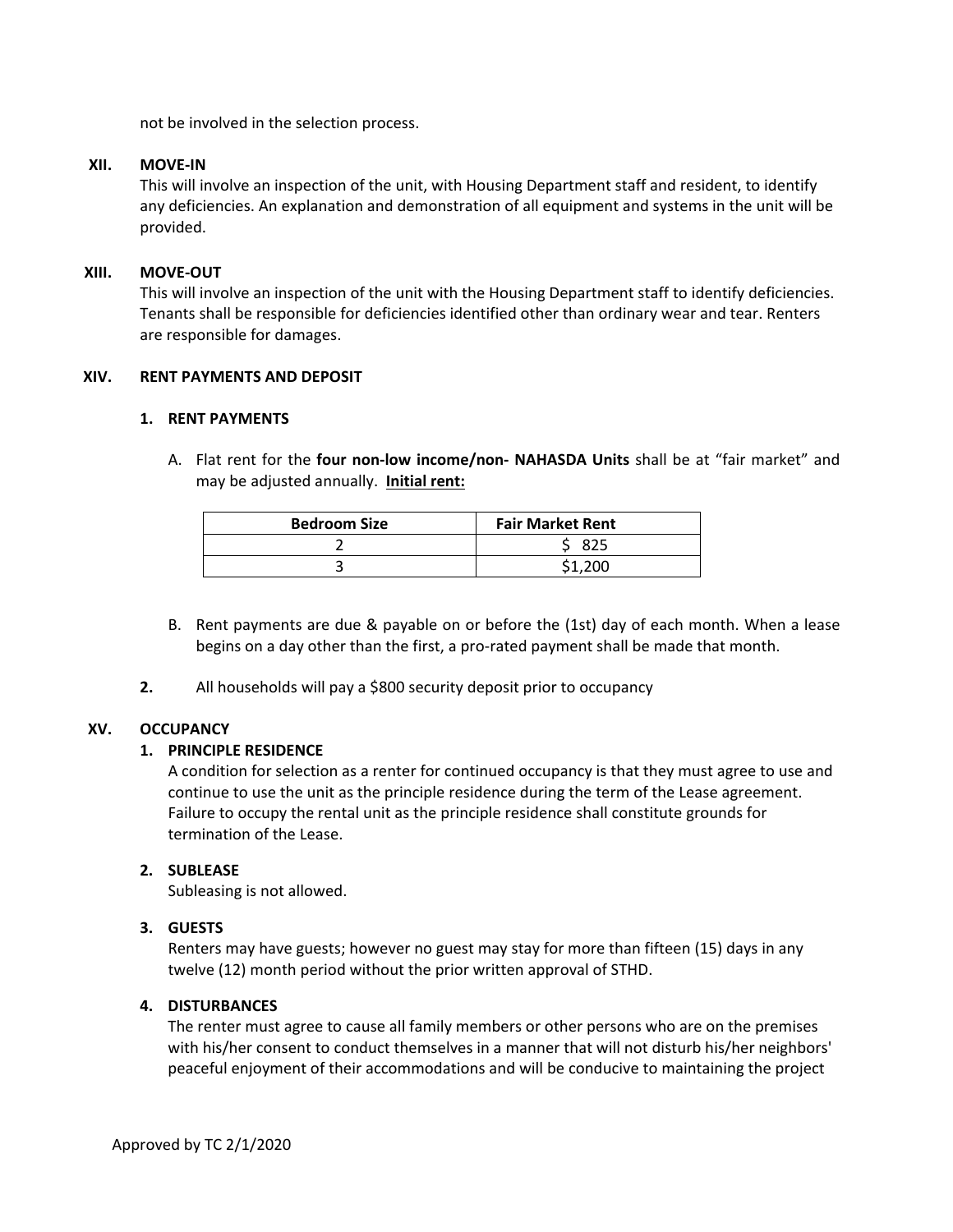not be involved in the selection process.

#### **XII. MOVE-IN**

This will involve an inspection of the unit, with Housing Department staff and resident, to identify any deficiencies. An explanation and demonstration of all equipment and systems in the unit will be provided.

### **XIII. MOVE-OUT**

This will involve an inspection of the unit with the Housing Department staff to identify deficiencies. Tenants shall be responsible for deficiencies identified other than ordinary wear and tear. Renters are responsible for damages.

# **XIV. RENT PAYMENTS AND DEPOSIT**

### **1. RENT PAYMENTS**

A. Flat rent for the **four non-low income/non- NAHASDA Units** shall be at "fair market" and may be adjusted annually. **Initial rent:**

| <b>Bedroom Size</b> | <b>Fair Market Rent</b> |
|---------------------|-------------------------|
|                     | 825                     |
|                     |                         |

- B. Rent payments are due & payable on or before the (1st) day of each month. When a lease begins on a day other than the first, a pro-rated payment shall be made that month.
- **2.** All households will pay a \$800 security deposit prior to occupancy

# **XV. OCCUPANCY**

# **1. PRINCIPLE RESIDENCE**

A condition for selection as a renter for continued occupancy is that they must agree to use and continue to use the unit as the principle residence during the term of the Lease agreement. Failure to occupy the rental unit as the principle residence shall constitute grounds for termination of the Lease.

# **2. SUBLEASE**

Subleasing is not allowed.

# **3. GUESTS**

Renters may have guests; however no guest may stay for more than fifteen (15) days in any twelve (12) month period without the prior written approval of STHD.

# **4. DISTURBANCES**

The renter must agree to cause all family members or other persons who are on the premises with his/her consent to conduct themselves in a manner that will not disturb his/her neighbors' peaceful enjoyment of their accommodations and will be conducive to maintaining the project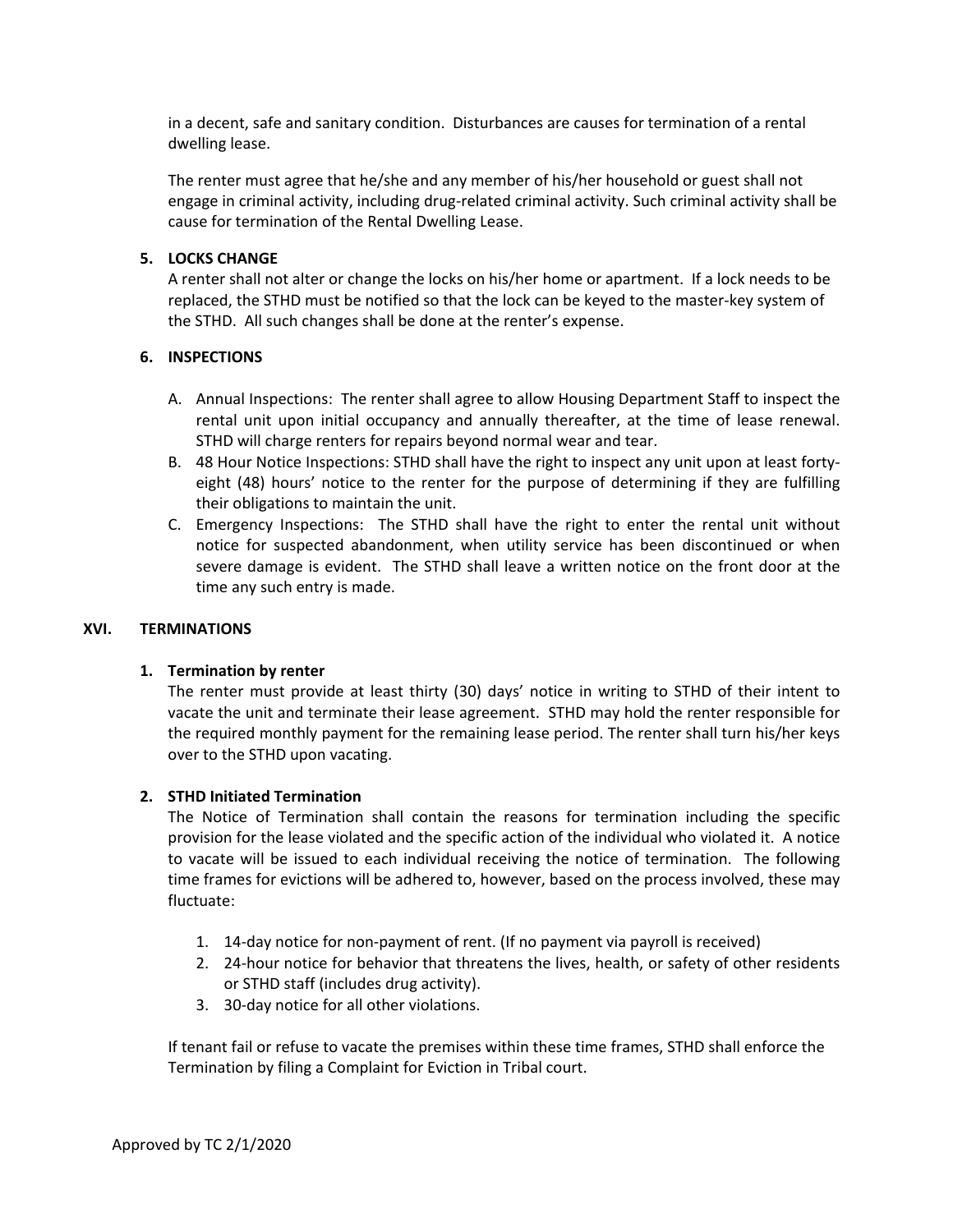in a decent, safe and sanitary condition. Disturbances are causes for termination of a rental dwelling lease.

The renter must agree that he/she and any member of his/her household or guest shall not engage in criminal activity, including drug-related criminal activity. Such criminal activity shall be cause for termination of the Rental Dwelling Lease.

# **5. LOCKS CHANGE**

A renter shall not alter or change the locks on his/her home or apartment. If a lock needs to be replaced, the STHD must be notified so that the lock can be keyed to the master-key system of the STHD. All such changes shall be done at the renter's expense.

# **6. INSPECTIONS**

- A. Annual Inspections: The renter shall agree to allow Housing Department Staff to inspect the rental unit upon initial occupancy and annually thereafter, at the time of lease renewal. STHD will charge renters for repairs beyond normal wear and tear.
- B. 48 Hour Notice Inspections: STHD shall have the right to inspect any unit upon at least fortyeight (48) hours' notice to the renter for the purpose of determining if they are fulfilling their obligations to maintain the unit.
- C. Emergency Inspections: The STHD shall have the right to enter the rental unit without notice for suspected abandonment, when utility service has been discontinued or when severe damage is evident. The STHD shall leave a written notice on the front door at the time any such entry is made.

# **XVI. TERMINATIONS**

# **1. Termination by renter**

The renter must provide at least thirty (30) days' notice in writing to STHD of their intent to vacate the unit and terminate their lease agreement. STHD may hold the renter responsible for the required monthly payment for the remaining lease period. The renter shall turn his/her keys over to the STHD upon vacating.

# **2. STHD Initiated Termination**

The Notice of Termination shall contain the reasons for termination including the specific provision for the lease violated and the specific action of the individual who violated it. A notice to vacate will be issued to each individual receiving the notice of termination. The following time frames for evictions will be adhered to, however, based on the process involved, these may fluctuate:

- 1. 14-day notice for non-payment of rent. (If no payment via payroll is received)
- 2. 24-hour notice for behavior that threatens the lives, health, or safety of other residents or STHD staff (includes drug activity).
- 3. 30-day notice for all other violations.

If tenant fail or refuse to vacate the premises within these time frames, STHD shall enforce the Termination by filing a Complaint for Eviction in Tribal court.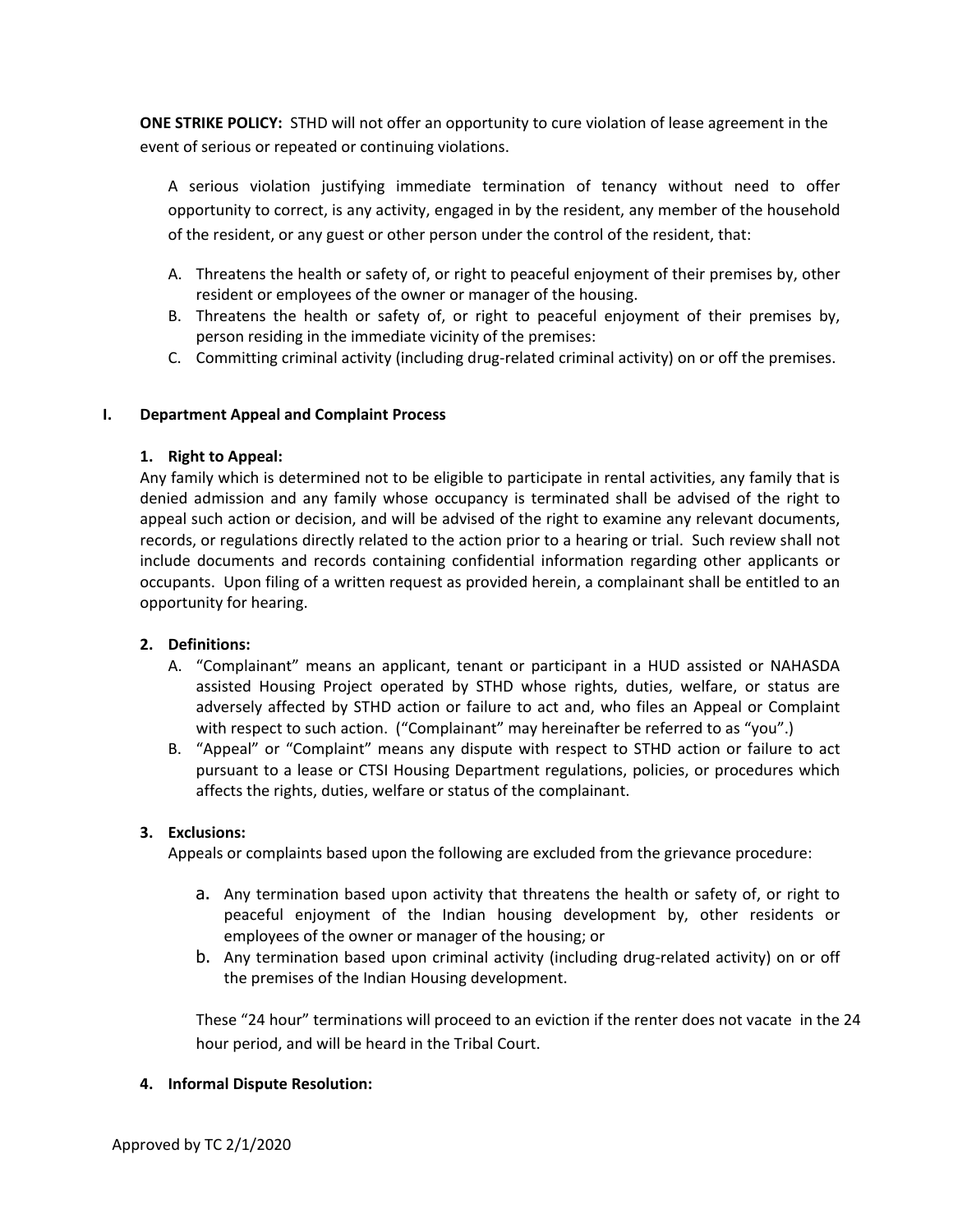**ONE STRIKE POLICY:** STHD will not offer an opportunity to cure violation of lease agreement in the event of serious or repeated or continuing violations.

A serious violation justifying immediate termination of tenancy without need to offer opportunity to correct, is any activity, engaged in by the resident, any member of the household of the resident, or any guest or other person under the control of the resident, that:

- A. Threatens the health or safety of, or right to peaceful enjoyment of their premises by, other resident or employees of the owner or manager of the housing.
- B. Threatens the health or safety of, or right to peaceful enjoyment of their premises by, person residing in the immediate vicinity of the premises:
- C. Committing criminal activity (including drug-related criminal activity) on or off the premises.

# **I. Department Appeal and Complaint Process**

# **1. Right to Appeal:**

Any family which is determined not to be eligible to participate in rental activities, any family that is denied admission and any family whose occupancy is terminated shall be advised of the right to appeal such action or decision, and will be advised of the right to examine any relevant documents, records, or regulations directly related to the action prior to a hearing or trial. Such review shall not include documents and records containing confidential information regarding other applicants or occupants. Upon filing of a written request as provided herein, a complainant shall be entitled to an opportunity for hearing.

# **2. Definitions:**

- A. "Complainant" means an applicant, tenant or participant in a HUD assisted or NAHASDA assisted Housing Project operated by STHD whose rights, duties, welfare, or status are adversely affected by STHD action or failure to act and, who files an Appeal or Complaint with respect to such action. ("Complainant" may hereinafter be referred to as "you".)
- B. "Appeal" or "Complaint" means any dispute with respect to STHD action or failure to act pursuant to a lease or CTSI Housing Department regulations, policies, or procedures which affects the rights, duties, welfare or status of the complainant.

# **3. Exclusions:**

Appeals or complaints based upon the following are excluded from the grievance procedure:

- a. Any termination based upon activity that threatens the health or safety of, or right to peaceful enjoyment of the Indian housing development by, other residents or employees of the owner or manager of the housing; or
- b. Any termination based upon criminal activity (including drug-related activity) on or off the premises of the Indian Housing development.

These "24 hour" terminations will proceed to an eviction if the renter does not vacate in the 24 hour period, and will be heard in the Tribal Court.

# **4. Informal Dispute Resolution:**